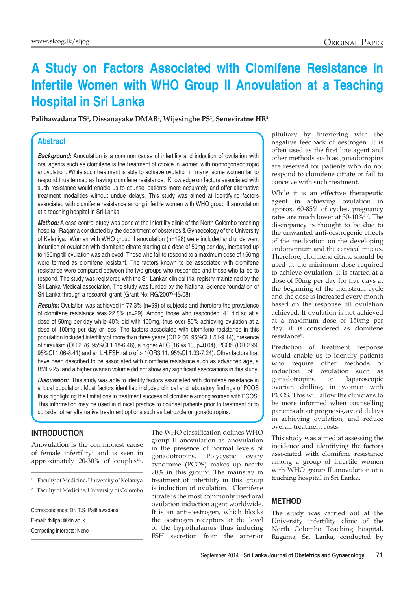# **A Study on Factors Associated with Clomifene Resistance in Infertile Women with WHO Group II Anovulation at a Teaching Hospital in Sri Lanka**

**Palihawadana TS1 , Dissanayake DMAB1 , Wijesinghe PS1 , Seneviratne HR2**

#### **Abstract**

**Background:** Anovulation is a common cause of infertility and induction of ovulation with oral agents such as clomifene is the treatment of choice in women with normogonadotropic anovulation. While such treatment is able to achieve ovulation in many, some women fail to respond thus termed as having clomifene resistance. Knowledge on factors associated with such resistance would enable us to counsel patients more accurately and offer alternative treatment modalities without undue delays. This study was aimed at identifying factors associated with clomifene resistance among infertile women with WHO group II anovulation at a teaching hospital in Sri Lanka.

*Method:* A case control study was done at the Infertility clinic of the North Colombo teaching hospital, Ragama conducted by the department of obstetrics & Gynaecology of the University of Kelaniya. Women with WHO group II anovulation (n=128) were included and underwent induction of ovulation with clomifene citrate starting at a dose of 50mg per day, increased up to 150mg till ovulation was achieved. Those who fail to respond to a maximum dose of 150mg were termed as clomifene resistant. The factors known to be associated with clomifene resistance were compared between the two groups who responded and those who failed to respond. The study was registered with the Sri Lankan clinical trial registry maintained by the Sri Lanka Medical association. The study was funded by the National Science foundation of Sri Lanka through a research grant (Grant No: RG/2007/HS/08)

*Results:* Ovulation was achieved in 77.3% (n=99) of subjects and therefore the prevalence of clomifene resistance was 22.8% (n=29). Among those who responded, 41 did so at a dose of 50mg per day while 40% did with 100mg, thus over 80% achieving ovulation at a dose of 100mg per day or less. The factors associated with clomifene resistance in this population included infertility of more than three years (OR 2.06, 95%CI 1.51-9.14), presence of hirsutism (OR 2.76, 95%CI 1.18-6.46), a higher AFC (16 vs 13, p=0.04), PCOS (OR 2.99, 95%CI 1.06-8.41) and an LH:FSH ratio of > 1(OR3.11, 95%CI 1.33-7.24). Other factors that have been described to be associated with clomifene resistance such as advanced age, a BMI > 25, and a higher ovarian volume did not show any significant associations in this study.

**Discussion:** This study was able to identify factors associated with clomifene resistance in a local population. Most factors identified included clinical and laboratory findings of PCOS thus highlighting the limitations in treatment success of clomifene among women with PCOS. This information may be used in clinical practice to counsel patients prior to treatment or to consider other alternative treatment options such as Letrozole or gonadotropins.

## **Introduction**

Anovulation is the commonest cause of female infertility<sup>1</sup> and is seen in approximately  $20-30\%$  of couples<sup>2,3</sup>.

<sup>1</sup> Faculty of Medicine, University of Kelaniya

Correspondence: Dr. T.S. Palihawadana E-mail: thilipali@kln.ac.lk Competing interests: None

The WHO classification defines WHO group II anovulation as anovulation in the presence of normal levels of gonadotropins. Polycystic ovary syndrome (PCOS) makes up nearly 70% in this group4 . The mainstay in treatment of infertility in this group is induction of ovulation. Clomifene citrate is the most commonly used oral ovulation induction agent worldwide. It is an anti-oestrogen, which blocks the oestrogen receptors at the level of the hypothalamus thus inducing FSH secretion from the anterior

pituitary by interfering with the negative feedback of oestrogen. It is often used as the first line agent and other methods such as gonadotropins are reserved for patients who do not respond to clomifene citrate or fail to conceive with such treatment.

While it is an effective therapeutic agent in achieving ovulation in approx. 60-85% of cycles, pregnancy rates are much lower at 30-40%5-7. The discrepancy is thought to be due to the unwanted anti-oestrogenic effects of the medication on the developing endometrium and the cervical mucus. Therefore, clomifene citrate should be used at the minimum dose required to achieve ovulation. It is started at a dose of 50mg per day for five days at the beginning of the menstrual cycle and the dose is increased every month based on the response till ovulation achieved. If ovulation is not achieved at a maximum dose of 150mg per day, it is considered as clomifene resistance<sup>8</sup>.

Prediction of treatment response would enable us to identify patients who require other methods of induction of ovulation such as gonadotropins or laparoscopic ovarian drilling, in women with PCOS. This will allow the clinicians to be more informed when counselling patients about prognosis, avoid delays in achieving ovulation, and reduce overall treatment costs.

This study was aimed at assessing the incidence and identifying the factors associated with clomifene resistance among a group of infertile women with WHO group II anovulation at a teaching hospital in Sri Lanka.

## **Method**

The study was carried out at the University infertility clinic of the North Colombo Teaching hospital, Ragama, Sri Lanka, conducted by

<sup>2</sup> Faculty of Medicine, University of Colombo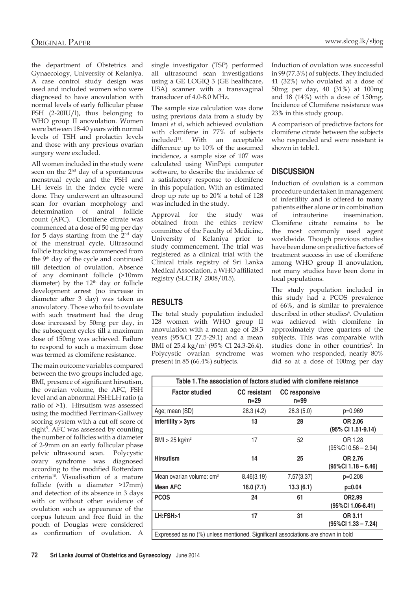the department of Obstetrics and Gynaecology, University of Kelaniya. A case control study design was used and included women who were diagnosed to have anovulation with normal levels of early follicular phase FSH (2-20IU/l), thus belonging to WHO group II anovulation. Women were between 18-40 years with normal levels of TSH and prolactin levels and those with any previous ovarian surgery were excluded.

All women included in the study were seen on the 2<sup>nd</sup> day of a spontaneous menstrual cycle and the FSH and LH levels in the index cycle were done. They underwent an ultrasound scan for ovarian morphology and determination of antral follicle count (AFC). Clomifene citrate was commenced at a dose of 50 mg per day for 5 days starting from the 2nd day of the menstrual cycle. Ultrasound follicle tracking was commenced from the 9th day of the cycle and continued till detection of ovulation. Absence of any dominant follicle (>10mm diameter) by the  $12<sup>th</sup>$  day or follicle development arrest (no increase in diameter after 3 day) was taken as anovulatory. Those who fail to ovulate with such treatment had the drug dose increased by 50mg per day, in the subsequent cycles till a maximum dose of 150mg was achieved. Failure to respond to such a maximum dose was termed as clomifene resistance.

The main outcome variables compared between the two groups included age, BMI, presence of significant hirsutism, the ovarian volume, the AFC, FSH level and an abnormal FSH:LH ratio (a ratio of >1). Hirsutism was assessed using the modified Ferriman-Gallwey scoring system with a cut off score of eight<sup>9</sup>. AFC was assessed by counting the number of follicles with a diameter of 2-9mm on an early follicular phase pelvic ultrasound scan. Polycystic ovary syndrome was diagnosed according to the modified Rotterdam criteria<sup>10</sup>. Visualisation of a mature follicle (with a diameter >17mm) and detection of its absence in 3 days with or without other evidence of ovulation such as appearance of the corpus luteum and free fluid in the pouch of Douglas were considered as confirmation of ovulation. A

single investigator (TSP) performed all ultrasound scan investigations using a GE LOGIQ 3 (GE healthcare, USA) scanner with a transvaginal transducer of 4.0-8.0 MHz.

The sample size calculation was done using previous data from a study by Imani *et al*, which achieved ovulation with clomifene in 77% of subjects included<sup>11</sup>. With an acceptable difference up to 10% of the assumed incidence, a sample size of 107 was calculated using WinPepi computer software, to describe the incidence of a satisfactory response to clomifene in this population. With an estimated drop up rate up to 20% a total of 128 was included in the study.

Approval for the study was obtained from the ethics review committee of the Faculty of Medicine, University of Kelaniya prior to study commencement. The trial was registered as a clinical trial with the Clinical trials registry of Sri Lanka Medical Association, a WHO affiliated registry (SLCTR/ 2008/015).

## **Results**

The total study population included 128 women with WHO group II anovulation with a mean age of 28.3 years (95%CI 27.5-29.1) and a mean BMI of 25.4 kg/m<sup>2</sup> (95% CI 24.3-26.4). Polycystic ovarian syndrome was present in 85 (66.4%) subjects.

Induction of ovulation was successful in 99 (77.3%) of subjects. They included 41 (32%) who ovulated at a dose of 50mg per day, 40 (31%) at 100mg and 18 (14%) with a dose of 150mg. Incidence of Clomifene resistance was 23% in this study group.

A comparison of predictive factors for clomifene citrate between the subjects who responded and were resistant is shown in table1.

## **Discussion**

Induction of ovulation is a common procedure undertaken in management of infertility and is offered to many patients either alone or in combination of intrauterine insemination. Clomifene citrate remains to be the most commonly used agent worldwide. Though previous studies have been done on predictive factors of treatment success in use of clomifene among WHO group II anovulation, not many studies have been done in local populations.

The study population included in this study had a PCOS prevalence of 66%, and is similar to prevalence described in other studies<sup>4</sup>. Ovulation was achieved with clomifene in approximately three quarters of the subjects. This was comparable with studies done in other countries<sup>5</sup>. In women who responded, nearly 80% did so at a dose of 100mg per day

| Table 1. The association of factors studied with clomifene reistance             |                                 |                                |                                   |
|----------------------------------------------------------------------------------|---------------------------------|--------------------------------|-----------------------------------|
| <b>Factor studied</b>                                                            | <b>CC</b> resistant<br>$n = 29$ | <b>CC</b> responsive<br>$n=99$ |                                   |
| Age; mean (SD)                                                                   | 28.3 (4.2)                      | 28.3(5.0)                      | p=0.969                           |
| Infertility > 3yrs                                                               | 13                              | 28                             | OR 2.06<br>(95% CI 1.51-9.14)     |
| $BMI > 25$ kg/m <sup>2</sup>                                                     | 17                              | 52                             | OR 1.28<br>$(95\%CI 0.56 - 2.94)$ |
| <b>Hirsutism</b>                                                                 | 14                              | 25                             | OR 2.76<br>$(95\%CI 1.18 - 6.46)$ |
| Mean ovarian volume: cm <sup>3</sup>                                             | 8.46(3.19)                      | 7.57(3.37)                     | $p=0.208$                         |
| <b>Mean AFC</b>                                                                  | 16.0(7.1)                       | 13.3(6.1)                      | $p=0.04$                          |
| <b>PCOS</b>                                                                      | 24                              | 61                             | OR2.99<br>(95%Cl 1.06-8.41)       |
| LH:FSH>1                                                                         | 17                              | 31                             | OR 3.11<br>$(95\%CI 1.33 - 7.24)$ |
| Expressed as no (%) unless mentioned. Significant associations are shown in bold |                                 |                                |                                   |